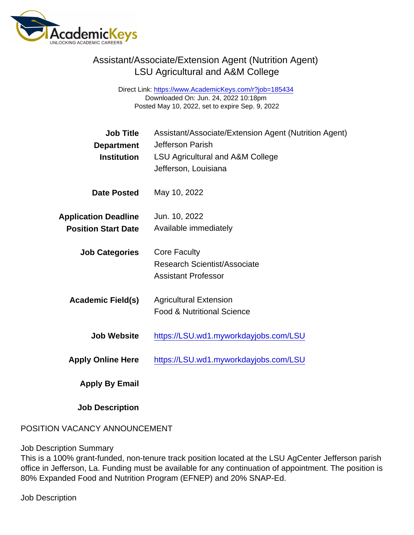Direct Link: <https://www.AcademicKeys.com/r?job=185434> Downloaded On: Jun. 24, 2022 10:18pm Posted May 10, 2022, set to expire Sep. 9, 2022

| <b>Job Title</b><br>Department<br>Institution | Assistant/Associate/Extension Agent (Nutrition Agent)<br><b>Jefferson Parish</b><br><b>LSU Agricultural and A&amp;M College</b> |
|-----------------------------------------------|---------------------------------------------------------------------------------------------------------------------------------|
|                                               | Jefferson, Louisiana                                                                                                            |
| Date Posted                                   | May 10, 2022                                                                                                                    |
| <b>Application Deadline</b>                   | Jun. 10, 2022                                                                                                                   |
| <b>Position Start Date</b>                    | Available immediately                                                                                                           |
| <b>Job Categories</b>                         | <b>Core Faculty</b>                                                                                                             |
|                                               | Research Scientist/Associate                                                                                                    |
|                                               | <b>Assistant Professor</b>                                                                                                      |
| Academic Field(s)                             | <b>Agricultural Extension</b>                                                                                                   |
|                                               | <b>Food &amp; Nutritional Science</b>                                                                                           |
| Job Website                                   | https://LSU.wd1.myworkdayjobs.com/LSU                                                                                           |
| <b>Apply Online Here</b>                      | https://LSU.wd1.myworkdayjobs.com/LSU                                                                                           |
| Apply By Email                                |                                                                                                                                 |

Job Description

#### POSITION VACANCY ANNOUNCEMENT

#### Job Description Summary

This is a 100% grant-funded, non-tenure track position located at the LSU AgCenter Jefferson parish office in Jefferson, La. Funding must be available for any continuation of appointment. The position is 80% Expanded Food and Nutrition Program (EFNEP) and 20% SNAP-Ed.

Job Description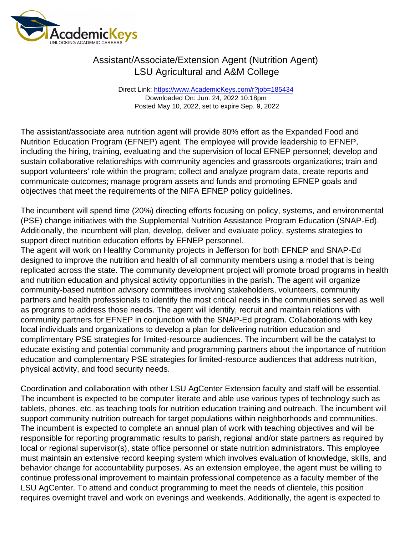Direct Link: <https://www.AcademicKeys.com/r?job=185434> Downloaded On: Jun. 24, 2022 10:18pm Posted May 10, 2022, set to expire Sep. 9, 2022

The assistant/associate area nutrition agent will provide 80% effort as the Expanded Food and Nutrition Education Program (EFNEP) agent. The employee will provide leadership to EFNEP, including the hiring, training, evaluating and the supervision of local EFNEP personnel; develop and sustain collaborative relationships with community agencies and grassroots organizations; train and support volunteers' role within the program; collect and analyze program data, create reports and communicate outcomes; manage program assets and funds and promoting EFNEP goals and objectives that meet the requirements of the NIFA EFNEP policy guidelines.

The incumbent will spend time (20%) directing efforts focusing on policy, systems, and environmental (PSE) change initiatives with the Supplemental Nutrition Assistance Program Education (SNAP-Ed). Additionally, the incumbent will plan, develop, deliver and evaluate policy, systems strategies to support direct nutrition education efforts by EFNEP personnel.

The agent will work on Healthy Community projects in Jefferson for both EFNEP and SNAP-Ed designed to improve the nutrition and health of all community members using a model that is being replicated across the state. The community development project will promote broad programs in health and nutrition education and physical activity opportunities in the parish. The agent will organize community-based nutrition advisory committees involving stakeholders, volunteers, community partners and health professionals to identify the most critical needs in the communities served as well as programs to address those needs. The agent will identify, recruit and maintain relations with community partners for EFNEP in conjunction with the SNAP-Ed program. Collaborations with key local individuals and organizations to develop a plan for delivering nutrition education and complimentary PSE strategies for limited-resource audiences. The incumbent will be the catalyst to educate existing and potential community and programming partners about the importance of nutrition education and complementary PSE strategies for limited-resource audiences that address nutrition, physical activity, and food security needs.

Coordination and collaboration with other LSU AgCenter Extension faculty and staff will be essential. The incumbent is expected to be computer literate and able use various types of technology such as tablets, phones, etc. as teaching tools for nutrition education training and outreach. The incumbent will support community nutrition outreach for target populations within neighborhoods and communities. The incumbent is expected to complete an annual plan of work with teaching objectives and will be responsible for reporting programmatic results to parish, regional and/or state partners as required by local or regional supervisor(s), state office personnel or state nutrition administrators. This employee must maintain an extensive record keeping system which involves evaluation of knowledge, skills, and behavior change for accountability purposes. As an extension employee, the agent must be willing to continue professional improvement to maintain professional competence as a faculty member of the LSU AgCenter. To attend and conduct programming to meet the needs of clientele, this position requires overnight travel and work on evenings and weekends. Additionally, the agent is expected to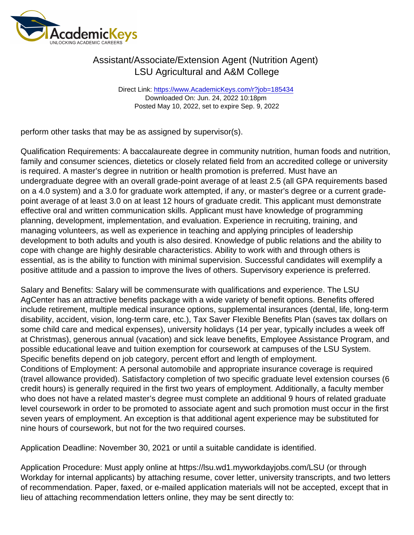Direct Link: <https://www.AcademicKeys.com/r?job=185434> Downloaded On: Jun. 24, 2022 10:18pm Posted May 10, 2022, set to expire Sep. 9, 2022

perform other tasks that may be as assigned by supervisor(s).

Qualification Requirements: A baccalaureate degree in community nutrition, human foods and nutrition, family and consumer sciences, dietetics or closely related field from an accredited college or university is required. A master's degree in nutrition or health promotion is preferred. Must have an undergraduate degree with an overall grade-point average of at least 2.5 (all GPA requirements based on a 4.0 system) and a 3.0 for graduate work attempted, if any, or master's degree or a current gradepoint average of at least 3.0 on at least 12 hours of graduate credit. This applicant must demonstrate effective oral and written communication skills. Applicant must have knowledge of programming planning, development, implementation, and evaluation. Experience in recruiting, training, and managing volunteers, as well as experience in teaching and applying principles of leadership development to both adults and youth is also desired. Knowledge of public relations and the ability to cope with change are highly desirable characteristics. Ability to work with and through others is essential, as is the ability to function with minimal supervision. Successful candidates will exemplify a positive attitude and a passion to improve the lives of others. Supervisory experience is preferred.

Salary and Benefits: Salary will be commensurate with qualifications and experience. The LSU AgCenter has an attractive benefits package with a wide variety of benefit options. Benefits offered include retirement, multiple medical insurance options, supplemental insurances (dental, life, long-term disability, accident, vision, long-term care, etc.), Tax Saver Flexible Benefits Plan (saves tax dollars on some child care and medical expenses), university holidays (14 per year, typically includes a week off at Christmas), generous annual (vacation) and sick leave benefits, Employee Assistance Program, and possible educational leave and tuition exemption for coursework at campuses of the LSU System. Specific benefits depend on job category, percent effort and length of employment. Conditions of Employment: A personal automobile and appropriate insurance coverage is required

(travel allowance provided). Satisfactory completion of two specific graduate level extension courses (6 credit hours) is generally required in the first two years of employment. Additionally, a faculty member who does not have a related master's degree must complete an additional 9 hours of related graduate level coursework in order to be promoted to associate agent and such promotion must occur in the first seven years of employment. An exception is that additional agent experience may be substituted for nine hours of coursework, but not for the two required courses.

Application Deadline: November 30, 2021 or until a suitable candidate is identified.

Application Procedure: Must apply online at https://lsu.wd1.myworkdayjobs.com/LSU (or through Workday for internal applicants) by attaching resume, cover letter, university transcripts, and two letters of recommendation. Paper, faxed, or e-mailed application materials will not be accepted, except that in lieu of attaching recommendation letters online, they may be sent directly to: